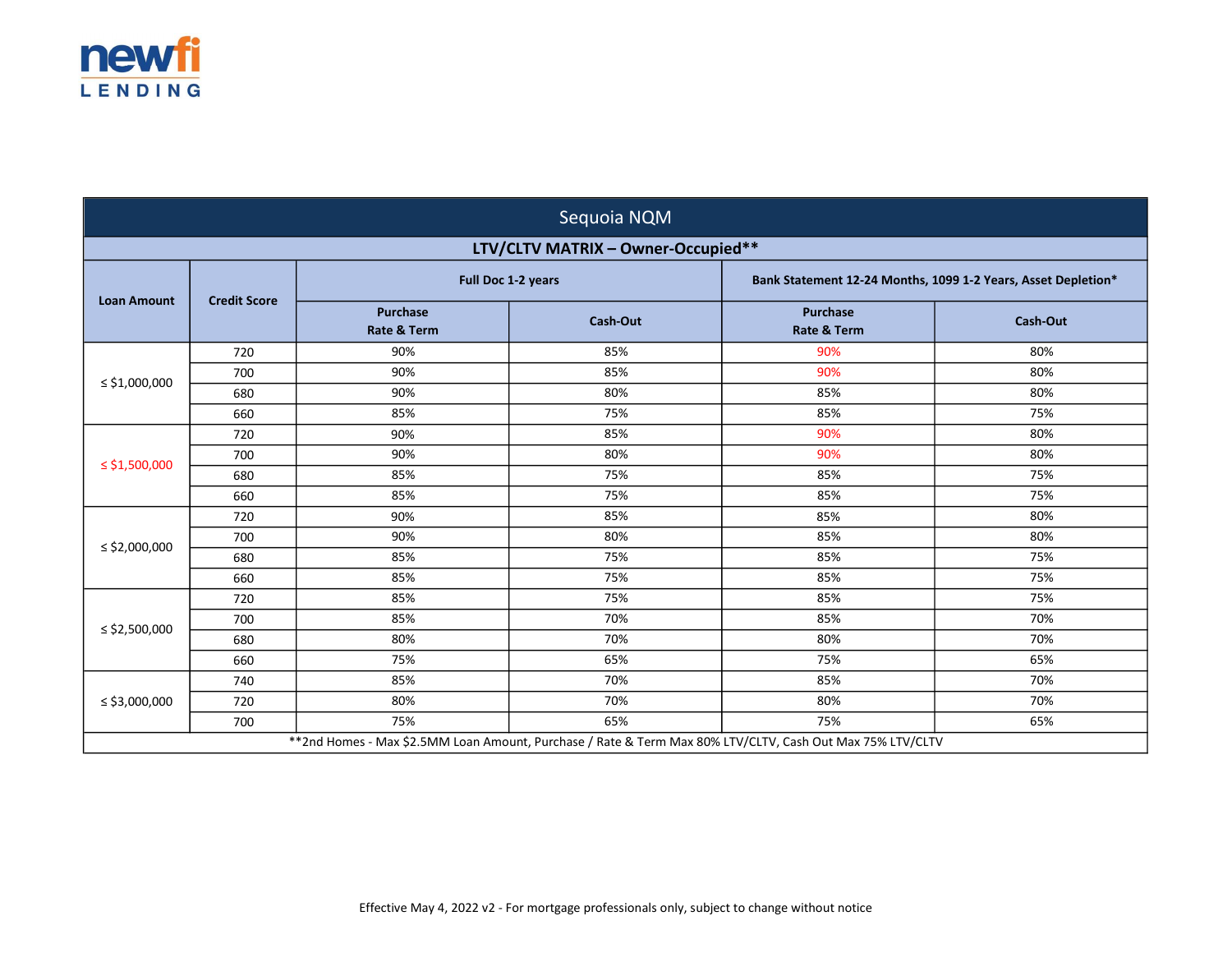

| Sequoia NQM                                                                                                |                     |                                           |                                    |                                                               |                 |
|------------------------------------------------------------------------------------------------------------|---------------------|-------------------------------------------|------------------------------------|---------------------------------------------------------------|-----------------|
|                                                                                                            |                     |                                           | LTV/CLTV MATRIX - Owner-Occupied** |                                                               |                 |
| <b>Loan Amount</b>                                                                                         | <b>Credit Score</b> | Full Doc 1-2 years                        |                                    | Bank Statement 12-24 Months, 1099 1-2 Years, Asset Depletion* |                 |
|                                                                                                            |                     | <b>Purchase</b><br><b>Rate &amp; Term</b> | <b>Cash-Out</b>                    | <b>Purchase</b><br><b>Rate &amp; Term</b>                     | <b>Cash-Out</b> |
|                                                                                                            | 720                 | 90%                                       | 85%                                | 90%                                                           | 80%             |
| $\le$ \$1,000,000                                                                                          | 700                 | 90%                                       | 85%                                | 90%                                                           | 80%             |
|                                                                                                            | 680                 | 90%                                       | 80%                                | 85%                                                           | 80%             |
|                                                                                                            | 660                 | 85%                                       | 75%                                | 85%                                                           | 75%             |
|                                                                                                            | 720                 | 90%                                       | 85%                                | 90%                                                           | 80%             |
|                                                                                                            | 700                 | 90%                                       | 80%                                | 90%                                                           | 80%             |
| $\le$ \$1,500,000                                                                                          | 680                 | 85%                                       | 75%                                | 85%                                                           | 75%             |
|                                                                                                            | 660                 | 85%                                       | 75%                                | 85%                                                           | 75%             |
|                                                                                                            | 720                 | 90%                                       | 85%                                | 85%                                                           | 80%             |
|                                                                                                            | 700                 | 90%                                       | 80%                                | 85%                                                           | 80%             |
| ≤ \$2,000,000                                                                                              | 680                 | 85%                                       | 75%                                | 85%                                                           | 75%             |
|                                                                                                            | 660                 | 85%                                       | 75%                                | 85%                                                           | 75%             |
|                                                                                                            | 720                 | 85%                                       | 75%                                | 85%                                                           | 75%             |
|                                                                                                            | 700                 | 85%                                       | 70%                                | 85%                                                           | 70%             |
| ≤ \$2,500,000                                                                                              | 680                 | 80%                                       | 70%                                | 80%                                                           | 70%             |
|                                                                                                            | 660                 | 75%                                       | 65%                                | 75%                                                           | 65%             |
|                                                                                                            | 740                 | 85%                                       | 70%                                | 85%                                                           | 70%             |
| ≤ \$3,000,000                                                                                              | 720                 | 80%                                       | 70%                                | 80%                                                           | 70%             |
|                                                                                                            | 700                 | 75%                                       | 65%                                | 75%                                                           | 65%             |
| ** 2nd Homes - Max \$2.5MM Loan Amount, Purchase / Rate & Term Max 80% LTV/CLTV, Cash Out Max 75% LTV/CLTV |                     |                                           |                                    |                                                               |                 |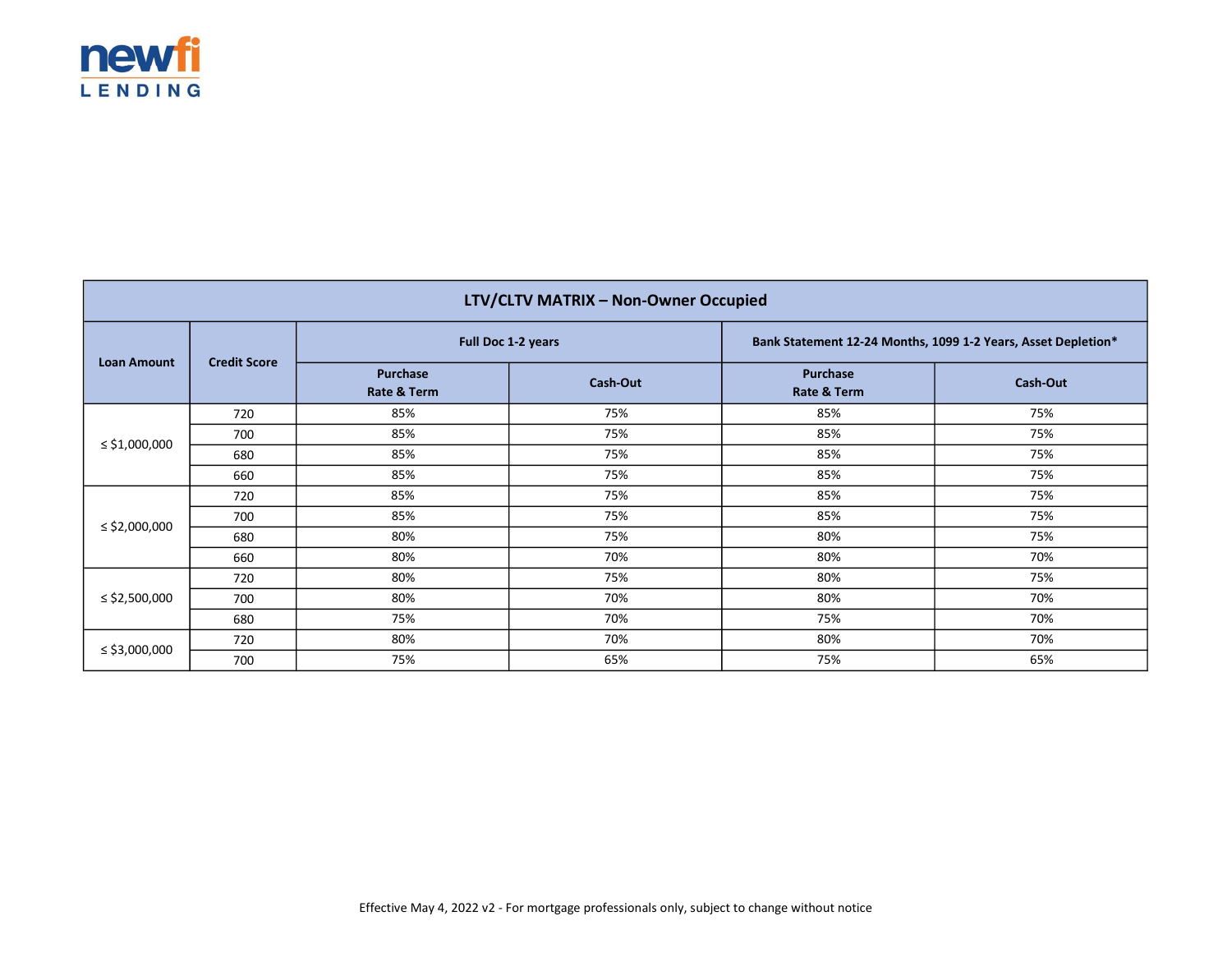

| LTV/CLTV MATRIX - Non-Owner Occupied |                     |                         |          |                                                               |                 |  |
|--------------------------------------|---------------------|-------------------------|----------|---------------------------------------------------------------|-----------------|--|
| <b>Loan Amount</b>                   | <b>Credit Score</b> | Full Doc 1-2 years      |          | Bank Statement 12-24 Months, 1099 1-2 Years, Asset Depletion* |                 |  |
|                                      |                     | Purchase<br>Rate & Term | Cash-Out | Purchase<br>Rate & Term                                       | <b>Cash-Out</b> |  |
|                                      | 720                 | 85%                     | 75%      | 85%                                                           | 75%             |  |
|                                      | 700                 | 85%                     | 75%      | 85%                                                           | 75%             |  |
| ≤ \$1,000,000                        | 680                 | 85%                     | 75%      | 85%                                                           | 75%             |  |
|                                      | 660                 | 85%                     | 75%      | 85%                                                           | 75%             |  |
|                                      | 720                 | 85%                     | 75%      | 85%                                                           | 75%             |  |
|                                      | 700                 | 85%                     | 75%      | 85%                                                           | 75%             |  |
| ≤ \$2,000,000                        | 680                 | 80%                     | 75%      | 80%                                                           | 75%             |  |
|                                      | 660                 | 80%                     | 70%      | 80%                                                           | 70%             |  |
| ≤ \$2,500,000                        | 720                 | 80%                     | 75%      | 80%                                                           | 75%             |  |
|                                      | 700                 | 80%                     | 70%      | 80%                                                           | 70%             |  |
|                                      | 680                 | 75%                     | 70%      | 75%                                                           | 70%             |  |
| ≤ \$3,000,000                        | 720                 | 80%                     | 70%      | 80%                                                           | 70%             |  |
|                                      | 700                 | 75%                     | 65%      | 75%                                                           | 65%             |  |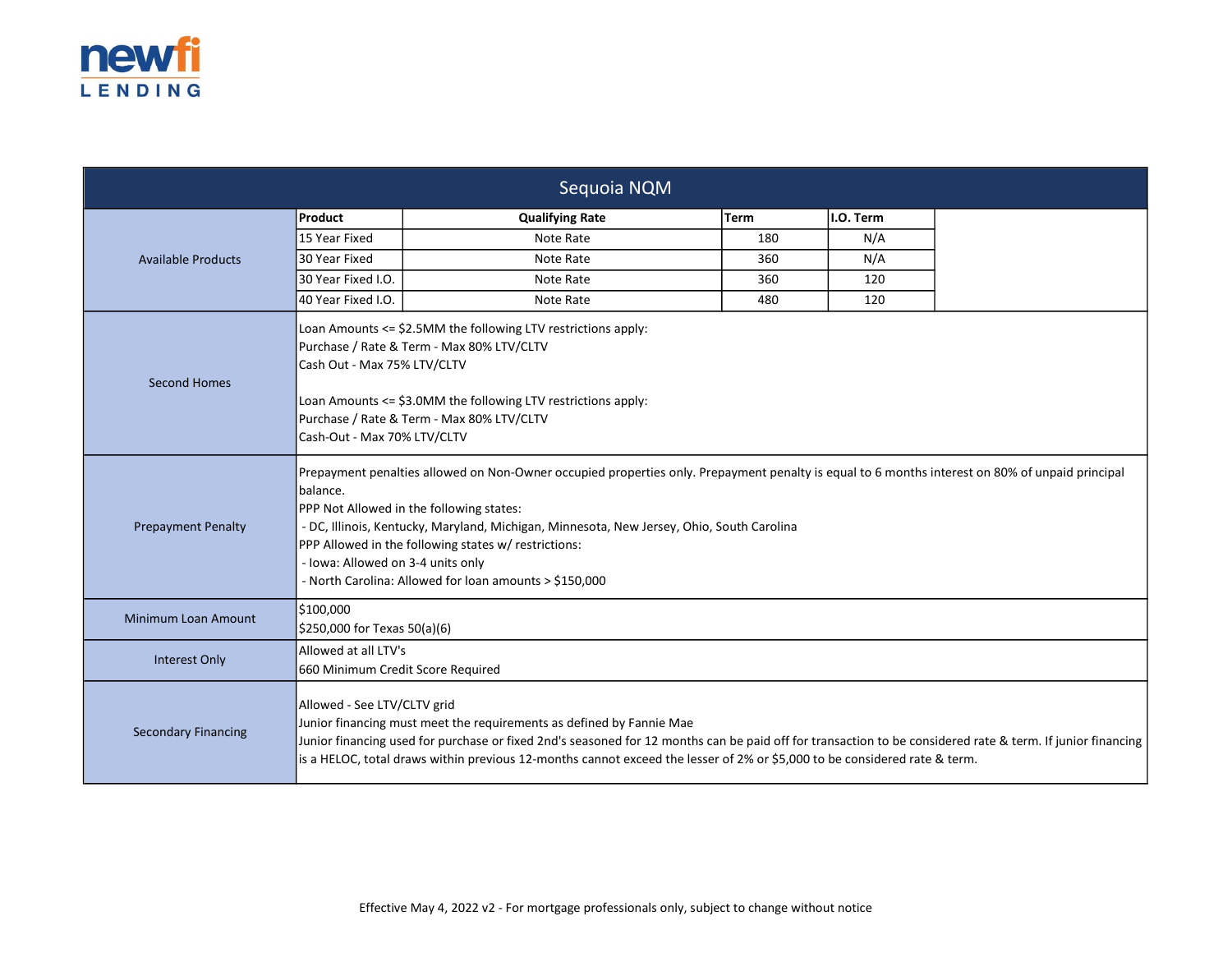

| Sequoia NQM                |                                                                                                                                                                                                                                                                                                                                                                                                                                                             |                        |      |           |  |  |
|----------------------------|-------------------------------------------------------------------------------------------------------------------------------------------------------------------------------------------------------------------------------------------------------------------------------------------------------------------------------------------------------------------------------------------------------------------------------------------------------------|------------------------|------|-----------|--|--|
|                            | Product                                                                                                                                                                                                                                                                                                                                                                                                                                                     | <b>Qualifying Rate</b> | Term | I.O. Term |  |  |
|                            | 15 Year Fixed                                                                                                                                                                                                                                                                                                                                                                                                                                               | Note Rate              | 180  | N/A       |  |  |
| <b>Available Products</b>  | 30 Year Fixed                                                                                                                                                                                                                                                                                                                                                                                                                                               | Note Rate              | 360  | N/A       |  |  |
|                            | 30 Year Fixed I.O.                                                                                                                                                                                                                                                                                                                                                                                                                                          | Note Rate              | 360  | 120       |  |  |
|                            | 40 Year Fixed I.O.                                                                                                                                                                                                                                                                                                                                                                                                                                          | Note Rate              | 480  | 120       |  |  |
| <b>Second Homes</b>        | Loan Amounts <= \$2.5MM the following LTV restrictions apply:<br>Purchase / Rate & Term - Max 80% LTV/CLTV<br>Cash Out - Max 75% LTV/CLTV<br>Loan Amounts <= \$3.0MM the following LTV restrictions apply:<br>Purchase / Rate & Term - Max 80% LTV/CLTV<br>Cash-Out - Max 70% LTV/CLTV                                                                                                                                                                      |                        |      |           |  |  |
| <b>Prepayment Penalty</b>  | Prepayment penalties allowed on Non-Owner occupied properties only. Prepayment penalty is equal to 6 months interest on 80% of unpaid principal<br>balance.<br>PPP Not Allowed in the following states:<br>- DC, Illinois, Kentucky, Maryland, Michigan, Minnesota, New Jersey, Ohio, South Carolina<br>PPP Allowed in the following states w/ restrictions:<br>- Iowa: Allowed on 3-4 units only<br>- North Carolina: Allowed for loan amounts > \$150,000 |                        |      |           |  |  |
| Minimum Loan Amount        | \$100,000<br>\$250,000 for Texas 50(a)(6)                                                                                                                                                                                                                                                                                                                                                                                                                   |                        |      |           |  |  |
| Interest Only              | Allowed at all LTV's<br>660 Minimum Credit Score Required                                                                                                                                                                                                                                                                                                                                                                                                   |                        |      |           |  |  |
| <b>Secondary Financing</b> | Allowed - See LTV/CLTV grid<br>Junior financing must meet the requirements as defined by Fannie Mae<br>Junior financing used for purchase or fixed 2nd's seasoned for 12 months can be paid off for transaction to be considered rate & term. If junior financing<br>is a HELOC, total draws within previous 12-months cannot exceed the lesser of 2% or \$5,000 to be considered rate & term.                                                              |                        |      |           |  |  |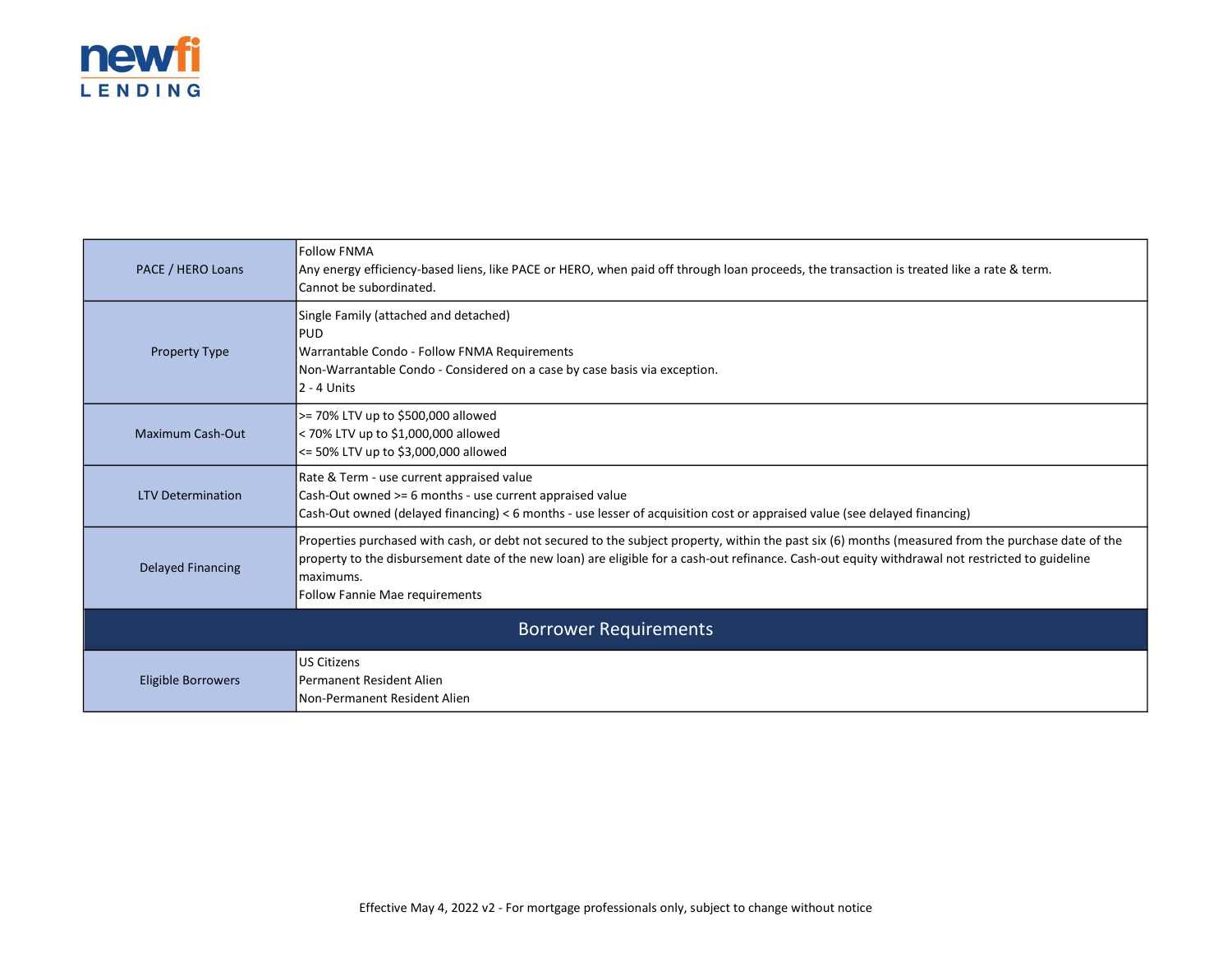

| PACE / HERO Loans            | <b>Follow FNMA</b><br>Any energy efficiency-based liens, like PACE or HERO, when paid off through loan proceeds, the transaction is treated like a rate & term.<br>Cannot be subordinated.                                                                                                                                                                     |  |  |  |
|------------------------------|----------------------------------------------------------------------------------------------------------------------------------------------------------------------------------------------------------------------------------------------------------------------------------------------------------------------------------------------------------------|--|--|--|
| <b>Property Type</b>         | Single Family (attached and detached)<br><b>PUD</b><br>Warrantable Condo - Follow FNMA Requirements<br>Non-Warrantable Condo - Considered on a case by case basis via exception.<br>$2 - 4$ Units                                                                                                                                                              |  |  |  |
| <b>Maximum Cash-Out</b>      | >= 70% LTV up to \$500,000 allowed<br>< 70% LTV up to \$1,000,000 allowed<br><= 50% LTV up to \$3,000,000 allowed                                                                                                                                                                                                                                              |  |  |  |
| <b>LTV Determination</b>     | Rate & Term - use current appraised value<br>Cash-Out owned >= 6 months - use current appraised value<br>Cash-Out owned (delayed financing) < 6 months - use lesser of acquisition cost or appraised value (see delayed financing)                                                                                                                             |  |  |  |
| <b>Delayed Financing</b>     | Properties purchased with cash, or debt not secured to the subject property, within the past six (6) months (measured from the purchase date of the<br>property to the disbursement date of the new loan) are eligible for a cash-out refinance. Cash-out equity withdrawal not restricted to guideline<br>lmaximums.<br><b>Follow Fannie Mae requirements</b> |  |  |  |
| <b>Borrower Requirements</b> |                                                                                                                                                                                                                                                                                                                                                                |  |  |  |
| <b>Eligible Borrowers</b>    | US Citizens<br>IPermanent Resident Alien<br>Non-Permanent Resident Alien                                                                                                                                                                                                                                                                                       |  |  |  |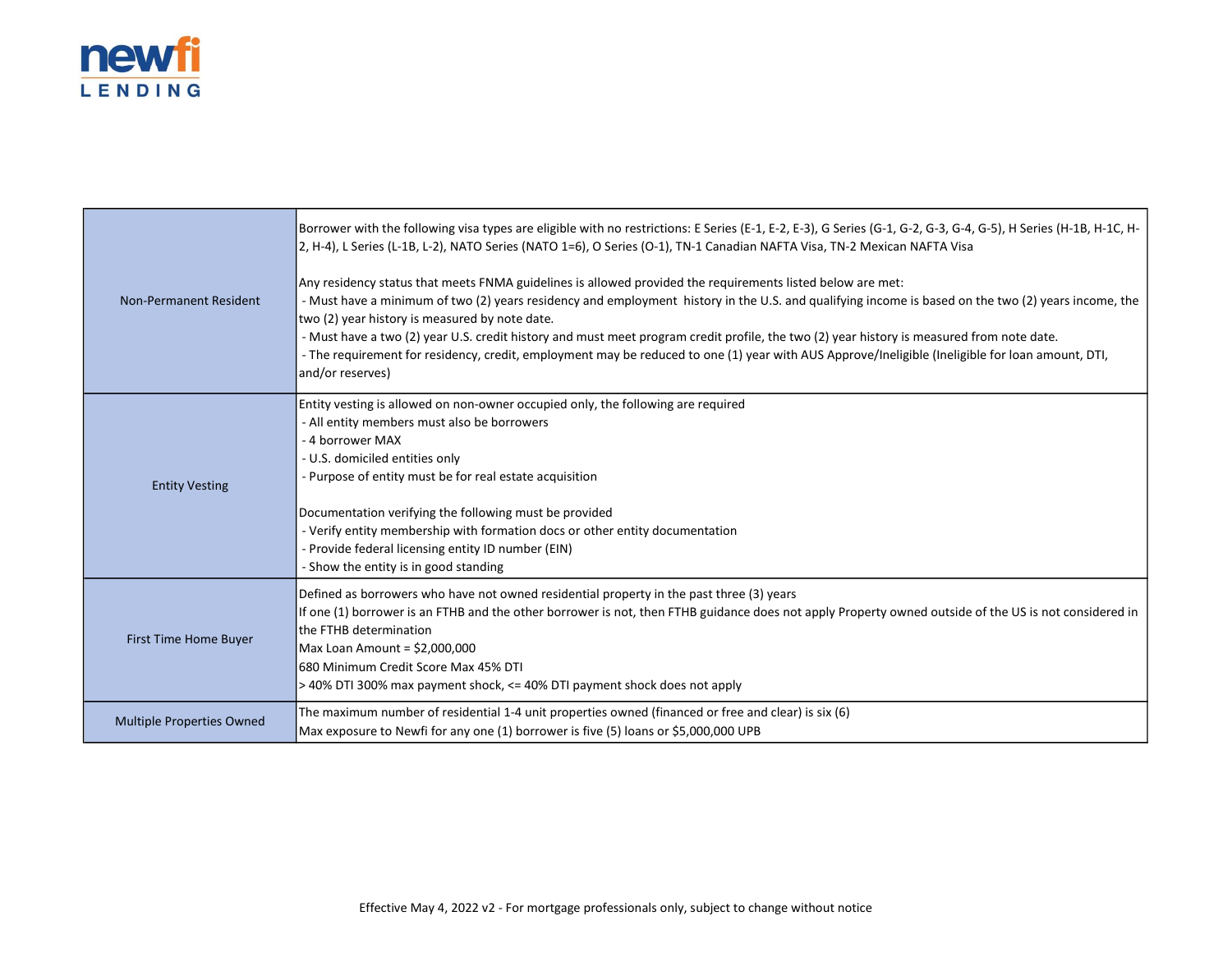

|                                  | Borrower with the following visa types are eligible with no restrictions: E Series (E-1, E-2, E-3), G Series (G-1, G-2, G-3, G-4, G-5), H Series (H-1B, H-1C, H-<br>2, H-4), L Series (L-1B, L-2), NATO Series (NATO 1=6), O Series (O-1), TN-1 Canadian NAFTA Visa, TN-2 Mexican NAFTA Visa                                                                                                                                                                                                                                                                                                                                             |  |  |  |
|----------------------------------|------------------------------------------------------------------------------------------------------------------------------------------------------------------------------------------------------------------------------------------------------------------------------------------------------------------------------------------------------------------------------------------------------------------------------------------------------------------------------------------------------------------------------------------------------------------------------------------------------------------------------------------|--|--|--|
| Non-Permanent Resident           | Any residency status that meets FNMA guidelines is allowed provided the requirements listed below are met:<br>- Must have a minimum of two (2) years residency and employment history in the U.S. and qualifying income is based on the two (2) years income, the<br>two (2) year history is measured by note date.<br>- Must have a two (2) year U.S. credit history and must meet program credit profile, the two (2) year history is measured from note date.<br>- The requirement for residency, credit, employment may be reduced to one (1) year with AUS Approve/Ineligible (Ineligible for loan amount, DTI,<br>and/or reserves) |  |  |  |
| <b>Entity Vesting</b>            | Entity vesting is allowed on non-owner occupied only, the following are required<br>- All entity members must also be borrowers<br>- 4 borrower MAX<br>- U.S. domiciled entities only<br>- Purpose of entity must be for real estate acquisition<br>Documentation verifying the following must be provided<br>- Verify entity membership with formation docs or other entity documentation<br>- Provide federal licensing entity ID number (EIN)<br>- Show the entity is in good standing                                                                                                                                                |  |  |  |
| First Time Home Buyer            | Defined as borrowers who have not owned residential property in the past three (3) years<br>If one (1) borrower is an FTHB and the other borrower is not, then FTHB guidance does not apply Property owned outside of the US is not considered in<br>the FTHB determination<br>$Max$ Loan Amount = \$2,000,000<br>1680 Minimum Credit Score Max 45% DTI<br>> 40% DTI 300% max payment shock, <= 40% DTI payment shock does not apply                                                                                                                                                                                                     |  |  |  |
| <b>Multiple Properties Owned</b> | The maximum number of residential 1-4 unit properties owned (financed or free and clear) is six (6)<br>Max exposure to Newfi for any one (1) borrower is five (5) loans or \$5,000,000 UPB                                                                                                                                                                                                                                                                                                                                                                                                                                               |  |  |  |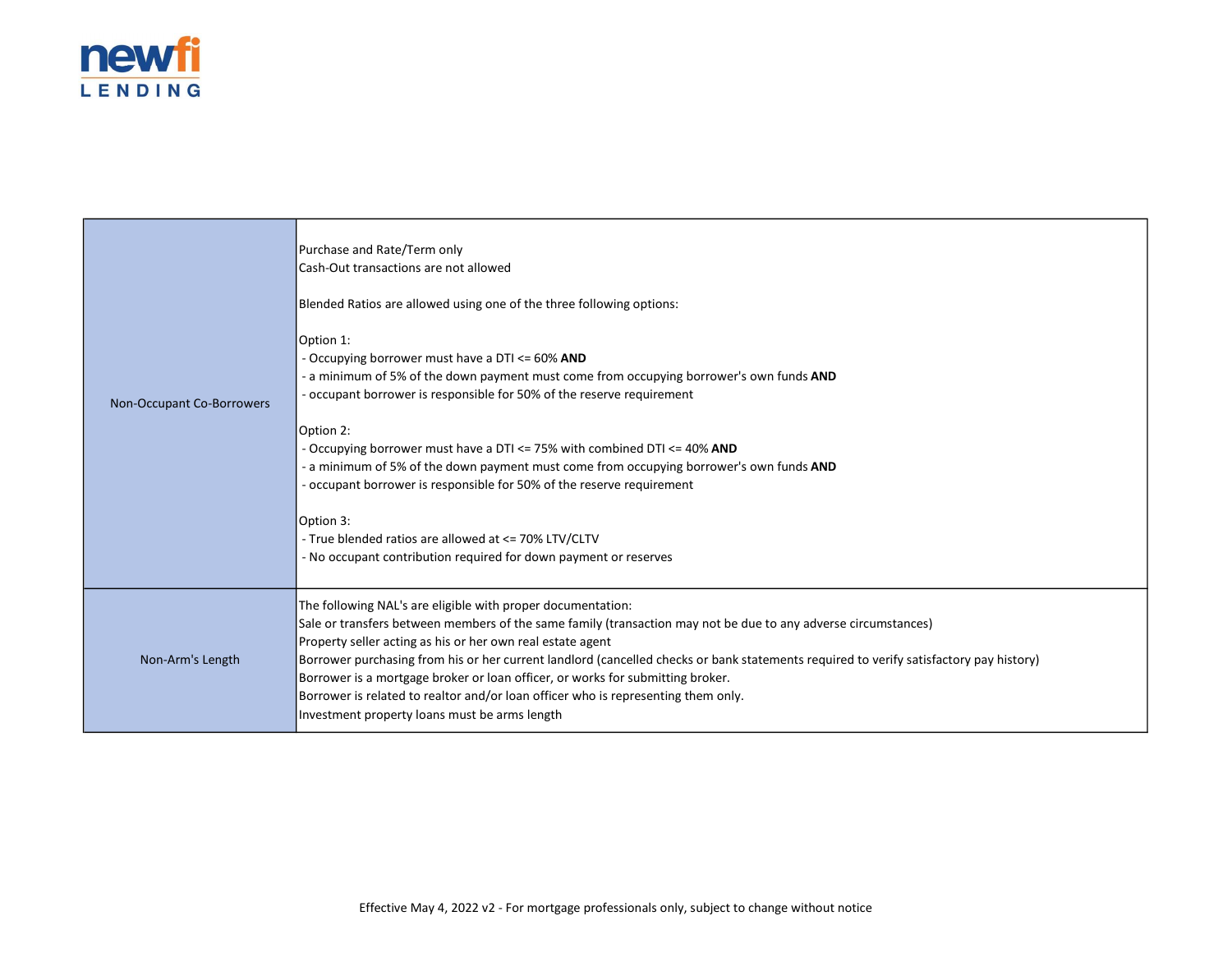

F

| Non-Occupant Co-Borrowers | Purchase and Rate/Term only<br>Cash-Out transactions are not allowed<br>Blended Ratios are allowed using one of the three following options:<br>Option 1:<br>- Occupying borrower must have a DTI <= 60% AND<br>- a minimum of 5% of the down payment must come from occupying borrower's own funds AND<br>- occupant borrower is responsible for 50% of the reserve requirement<br>Option 2:<br>- Occupying borrower must have a DTI <= 75% with combined DTI <= 40% AND<br>- a minimum of 5% of the down payment must come from occupying borrower's own funds AND<br>- occupant borrower is responsible for 50% of the reserve requirement<br>Option 3:<br>- True blended ratios are allowed at <= 70% LTV/CLTV<br>- No occupant contribution required for down payment or reserves |
|---------------------------|----------------------------------------------------------------------------------------------------------------------------------------------------------------------------------------------------------------------------------------------------------------------------------------------------------------------------------------------------------------------------------------------------------------------------------------------------------------------------------------------------------------------------------------------------------------------------------------------------------------------------------------------------------------------------------------------------------------------------------------------------------------------------------------|
| Non-Arm's Length          | The following NAL's are eligible with proper documentation:<br>Sale or transfers between members of the same family (transaction may not be due to any adverse circumstances)<br>Property seller acting as his or her own real estate agent<br>Borrower purchasing from his or her current landlord (cancelled checks or bank statements required to verify satisfactory pay history)<br>Borrower is a mortgage broker or loan officer, or works for submitting broker.<br>Borrower is related to realtor and/or loan officer who is representing them only.<br>Investment property loans must be arms length                                                                                                                                                                          |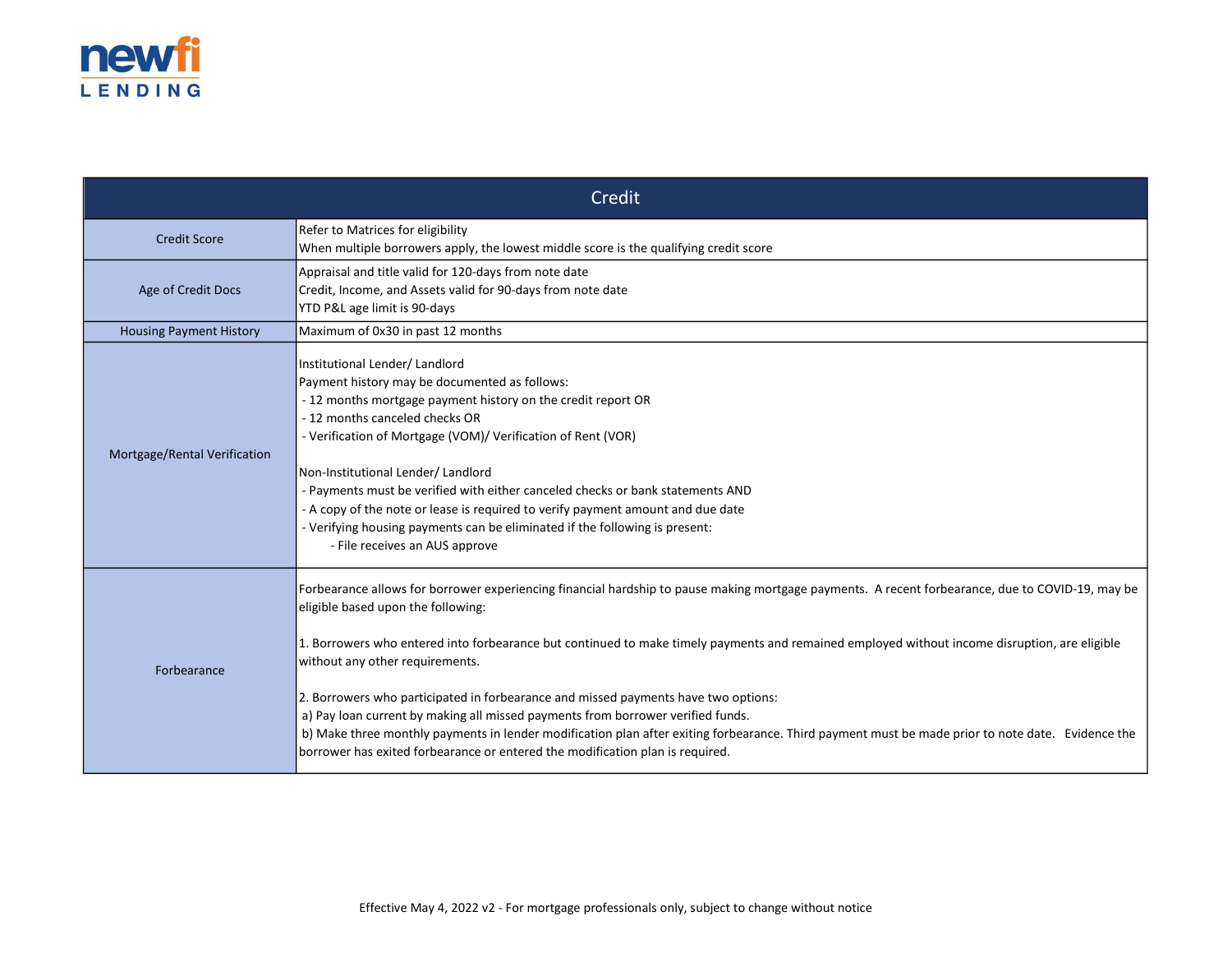

| Credit                         |                                                                                                                                                                                                                                                                                                                                                                                                                                                                                                                                                                                                                                                                                                                                                                                           |  |  |
|--------------------------------|-------------------------------------------------------------------------------------------------------------------------------------------------------------------------------------------------------------------------------------------------------------------------------------------------------------------------------------------------------------------------------------------------------------------------------------------------------------------------------------------------------------------------------------------------------------------------------------------------------------------------------------------------------------------------------------------------------------------------------------------------------------------------------------------|--|--|
| <b>Credit Score</b>            | Refer to Matrices for eligibility<br>When multiple borrowers apply, the lowest middle score is the qualifying credit score                                                                                                                                                                                                                                                                                                                                                                                                                                                                                                                                                                                                                                                                |  |  |
| Age of Credit Docs             | Appraisal and title valid for 120-days from note date<br>Credit, Income, and Assets valid for 90-days from note date<br>YTD P&L age limit is 90-days                                                                                                                                                                                                                                                                                                                                                                                                                                                                                                                                                                                                                                      |  |  |
| <b>Housing Payment History</b> | Maximum of 0x30 in past 12 months                                                                                                                                                                                                                                                                                                                                                                                                                                                                                                                                                                                                                                                                                                                                                         |  |  |
| Mortgage/Rental Verification   | Institutional Lender/Landlord<br>Payment history may be documented as follows:<br>- 12 months mortgage payment history on the credit report OR<br>- 12 months canceled checks OR<br>- Verification of Mortgage (VOM)/ Verification of Rent (VOR)<br>Non-Institutional Lender/ Landlord<br>- Payments must be verified with either canceled checks or bank statements AND<br>- A copy of the note or lease is required to verify payment amount and due date<br>- Verifying housing payments can be eliminated if the following is present:<br>- File receives an AUS approve                                                                                                                                                                                                              |  |  |
| Forbearance                    | Forbearance allows for borrower experiencing financial hardship to pause making mortgage payments. A recent forbearance, due to COVID-19, may be<br>eligible based upon the following:<br>1. Borrowers who entered into forbearance but continued to make timely payments and remained employed without income disruption, are eligible<br>without any other requirements.<br>2. Borrowers who participated in forbearance and missed payments have two options:<br>a) Pay loan current by making all missed payments from borrower verified funds.<br>b) Make three monthly payments in lender modification plan after exiting forbearance. Third payment must be made prior to note date. Evidence the<br>borrower has exited forbearance or entered the modification plan is required. |  |  |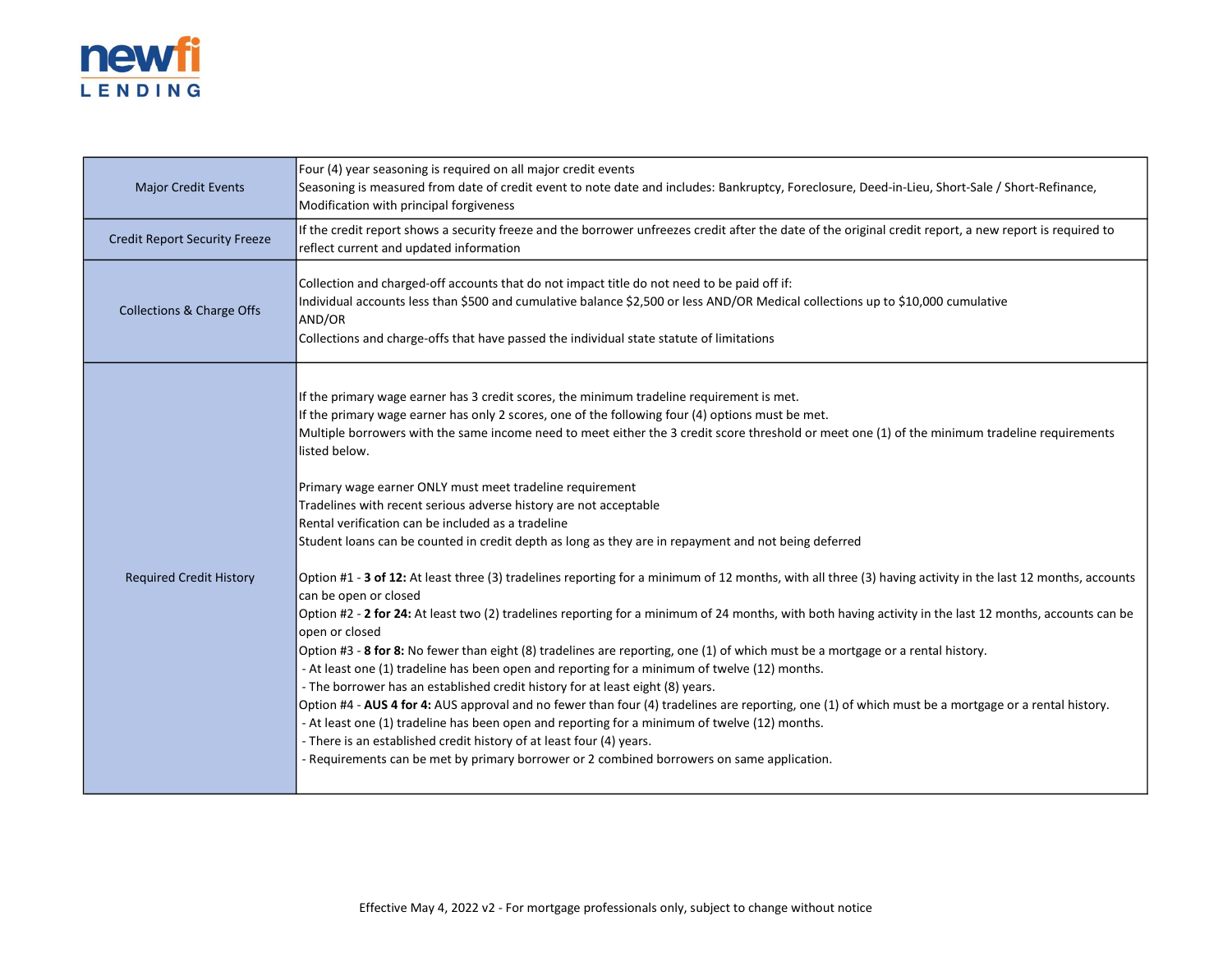

| <b>Major Credit Events</b>           | Four (4) year seasoning is required on all major credit events<br>Seasoning is measured from date of credit event to note date and includes: Bankruptcy, Foreclosure, Deed-in-Lieu, Short-Sale / Short-Refinance,<br>Modification with principal forgiveness                                                                                                                                                                                                                                                                                                                                                                                                                                                                                                                                                                                                                                                                                                                                                                                                                                                                                                                                                                                                                                                                                                                                                                                                                                                                                                                                                                                                                                                                                                                                |
|--------------------------------------|---------------------------------------------------------------------------------------------------------------------------------------------------------------------------------------------------------------------------------------------------------------------------------------------------------------------------------------------------------------------------------------------------------------------------------------------------------------------------------------------------------------------------------------------------------------------------------------------------------------------------------------------------------------------------------------------------------------------------------------------------------------------------------------------------------------------------------------------------------------------------------------------------------------------------------------------------------------------------------------------------------------------------------------------------------------------------------------------------------------------------------------------------------------------------------------------------------------------------------------------------------------------------------------------------------------------------------------------------------------------------------------------------------------------------------------------------------------------------------------------------------------------------------------------------------------------------------------------------------------------------------------------------------------------------------------------------------------------------------------------------------------------------------------------|
| <b>Credit Report Security Freeze</b> | If the credit report shows a security freeze and the borrower unfreezes credit after the date of the original credit report, a new report is required to<br>reflect current and updated information                                                                                                                                                                                                                                                                                                                                                                                                                                                                                                                                                                                                                                                                                                                                                                                                                                                                                                                                                                                                                                                                                                                                                                                                                                                                                                                                                                                                                                                                                                                                                                                         |
| <b>Collections &amp; Charge Offs</b> | Collection and charged-off accounts that do not impact title do not need to be paid off if:<br>Individual accounts less than \$500 and cumulative balance \$2,500 or less AND/OR Medical collections up to \$10,000 cumulative<br>AND/OR<br>Collections and charge-offs that have passed the individual state statute of limitations                                                                                                                                                                                                                                                                                                                                                                                                                                                                                                                                                                                                                                                                                                                                                                                                                                                                                                                                                                                                                                                                                                                                                                                                                                                                                                                                                                                                                                                        |
| <b>Required Credit History</b>       | If the primary wage earner has 3 credit scores, the minimum tradeline requirement is met.<br>If the primary wage earner has only 2 scores, one of the following four (4) options must be met.<br>Multiple borrowers with the same income need to meet either the 3 credit score threshold or meet one (1) of the minimum tradeline requirements<br>llisted below.<br>Primary wage earner ONLY must meet tradeline requirement<br>Tradelines with recent serious adverse history are not acceptable<br>Rental verification can be included as a tradeline<br>Student loans can be counted in credit depth as long as they are in repayment and not being deferred<br>Option #1 - 3 of 12: At least three (3) tradelines reporting for a minimum of 12 months, with all three (3) having activity in the last 12 months, accounts<br>can be open or closed<br>Option #2 - 2 for 24: At least two (2) tradelines reporting for a minimum of 24 months, with both having activity in the last 12 months, accounts can be<br>lopen or closed<br>Option #3 - 8 for 8: No fewer than eight (8) tradelines are reporting, one (1) of which must be a mortgage or a rental history.<br>- At least one (1) tradeline has been open and reporting for a minimum of twelve (12) months.<br>- The borrower has an established credit history for at least eight (8) years.<br>Option #4 - AUS 4 for 4: AUS approval and no fewer than four (4) tradelines are reporting, one (1) of which must be a mortgage or a rental history.<br>- At least one (1) tradeline has been open and reporting for a minimum of twelve (12) months.<br>- There is an established credit history of at least four (4) years.<br>- Requirements can be met by primary borrower or 2 combined borrowers on same application. |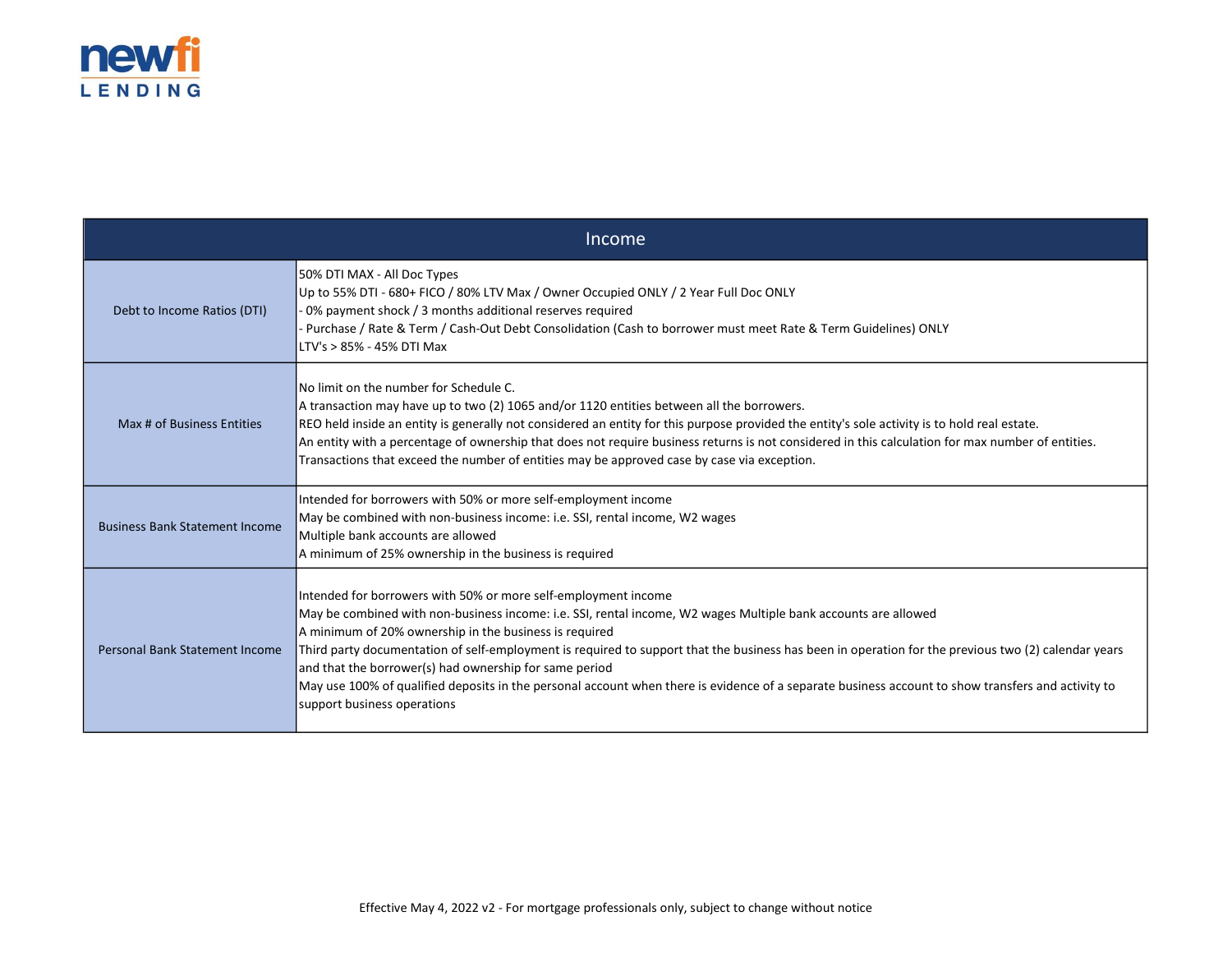

| Income                                |                                                                                                                                                                                                                                                                                                                                                                                                                                                                                                                                                                                                                                                  |  |  |  |
|---------------------------------------|--------------------------------------------------------------------------------------------------------------------------------------------------------------------------------------------------------------------------------------------------------------------------------------------------------------------------------------------------------------------------------------------------------------------------------------------------------------------------------------------------------------------------------------------------------------------------------------------------------------------------------------------------|--|--|--|
| Debt to Income Ratios (DTI)           | 50% DTI MAX - All Doc Types<br>Up to 55% DTI - 680+ FICO / 80% LTV Max / Owner Occupied ONLY / 2 Year Full Doc ONLY<br>- 0% payment shock / 3 months additional reserves required<br>Purchase / Rate & Term / Cash-Out Debt Consolidation (Cash to borrower must meet Rate & Term Guidelines) ONLY<br>LTV's > 85% - 45% DTI Max                                                                                                                                                                                                                                                                                                                  |  |  |  |
| Max # of Business Entities            | INo limit on the number for Schedule C.<br>A transaction may have up to two (2) 1065 and/or 1120 entities between all the borrowers.<br>REO held inside an entity is generally not considered an entity for this purpose provided the entity's sole activity is to hold real estate.<br>An entity with a percentage of ownership that does not require business returns is not considered in this calculation for max number of entities.<br>Transactions that exceed the number of entities may be approved case by case via exception.                                                                                                         |  |  |  |
| <b>Business Bank Statement Income</b> | Intended for borrowers with 50% or more self-employment income<br>May be combined with non-business income: i.e. SSI, rental income, W2 wages<br>Multiple bank accounts are allowed<br>A minimum of 25% ownership in the business is required                                                                                                                                                                                                                                                                                                                                                                                                    |  |  |  |
| <b>Personal Bank Statement Income</b> | Intended for borrowers with 50% or more self-employment income<br>May be combined with non-business income: i.e. SSI, rental income, W2 wages Multiple bank accounts are allowed<br>A minimum of 20% ownership in the business is required<br>Third party documentation of self-employment is required to support that the business has been in operation for the previous two (2) calendar years<br>and that the borrower(s) had ownership for same period<br>May use 100% of qualified deposits in the personal account when there is evidence of a separate business account to show transfers and activity to<br>support business operations |  |  |  |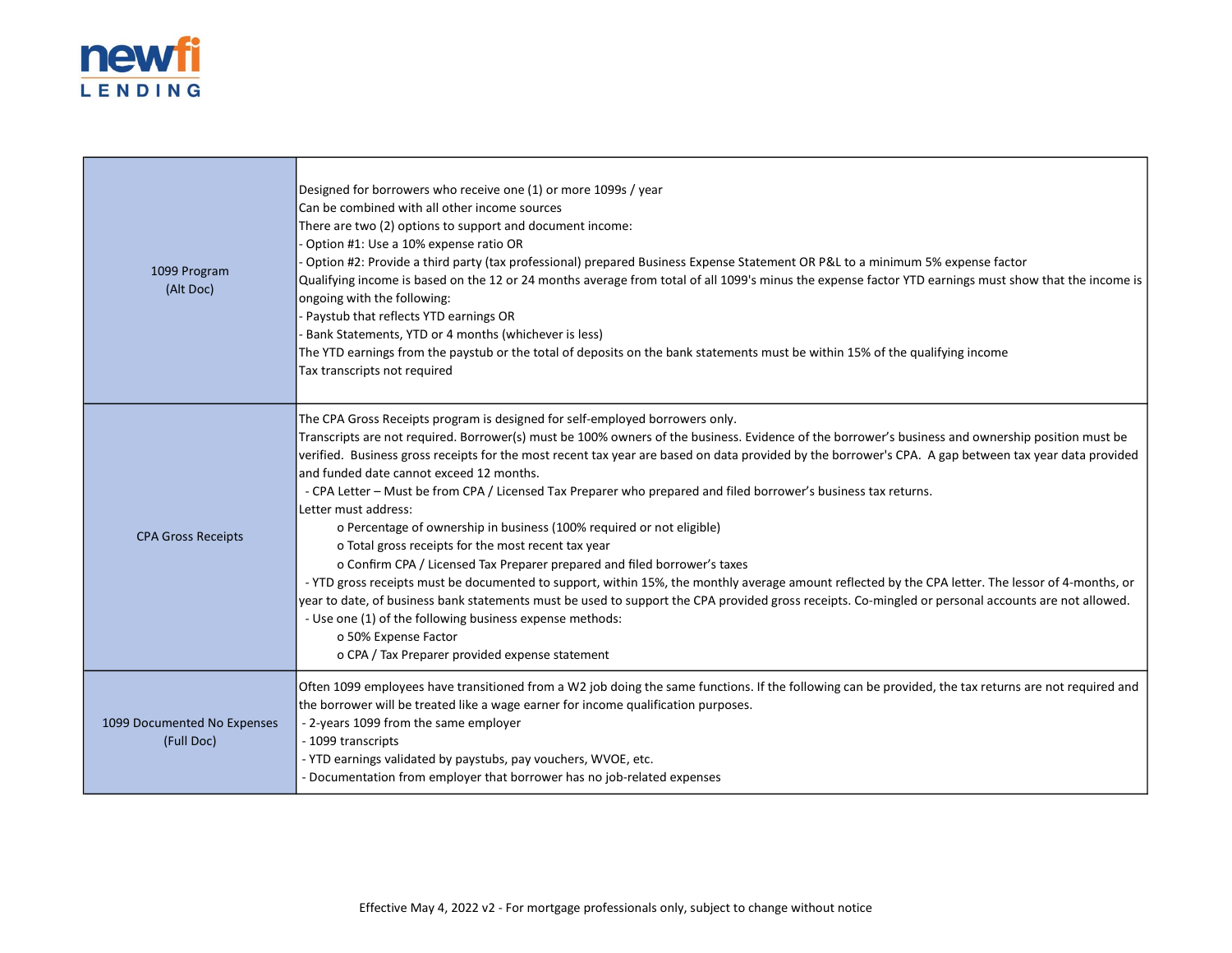

| 1099 Program<br>(Alt Doc)                 | Designed for borrowers who receive one (1) or more 1099s / year<br>Can be combined with all other income sources<br>There are two (2) options to support and document income:<br>Option #1: Use a 10% expense ratio OR<br>Option #2: Provide a third party (tax professional) prepared Business Expense Statement OR P&L to a minimum 5% expense factor<br>Qualifying income is based on the 12 or 24 months average from total of all 1099's minus the expense factor YTD earnings must show that the income is<br>ongoing with the following:<br>Paystub that reflects YTD earnings OR<br>Bank Statements, YTD or 4 months (whichever is less)<br>The YTD earnings from the paystub or the total of deposits on the bank statements must be within 15% of the qualifying income<br>Tax transcripts not required                                                                                                                                                                                                                                                                                                                                                                                                                                  |
|-------------------------------------------|----------------------------------------------------------------------------------------------------------------------------------------------------------------------------------------------------------------------------------------------------------------------------------------------------------------------------------------------------------------------------------------------------------------------------------------------------------------------------------------------------------------------------------------------------------------------------------------------------------------------------------------------------------------------------------------------------------------------------------------------------------------------------------------------------------------------------------------------------------------------------------------------------------------------------------------------------------------------------------------------------------------------------------------------------------------------------------------------------------------------------------------------------------------------------------------------------------------------------------------------------|
| <b>CPA Gross Receipts</b>                 | The CPA Gross Receipts program is designed for self-employed borrowers only.<br>Transcripts are not required. Borrower(s) must be 100% owners of the business. Evidence of the borrower's business and ownership position must be<br>verified. Business gross receipts for the most recent tax year are based on data provided by the borrower's CPA. A gap between tax year data provided<br>and funded date cannot exceed 12 months.<br>- CPA Letter - Must be from CPA / Licensed Tax Preparer who prepared and filed borrower's business tax returns.<br>Letter must address:<br>o Percentage of ownership in business (100% required or not eligible)<br>o Total gross receipts for the most recent tax year<br>o Confirm CPA / Licensed Tax Preparer prepared and filed borrower's taxes<br>- YTD gross receipts must be documented to support, within 15%, the monthly average amount reflected by the CPA letter. The lessor of 4-months, or<br>year to date, of business bank statements must be used to support the CPA provided gross receipts. Co-mingled or personal accounts are not allowed.<br>- Use one (1) of the following business expense methods:<br>o 50% Expense Factor<br>o CPA / Tax Preparer provided expense statement |
| 1099 Documented No Expenses<br>(Full Doc) | Often 1099 employees have transitioned from a W2 job doing the same functions. If the following can be provided, the tax returns are not required and<br>the borrower will be treated like a wage earner for income qualification purposes.<br>- 2-years 1099 from the same employer<br>- 1099 transcripts<br>- YTD earnings validated by paystubs, pay vouchers, WVOE, etc.<br>- Documentation from employer that borrower has no job-related expenses                                                                                                                                                                                                                                                                                                                                                                                                                                                                                                                                                                                                                                                                                                                                                                                            |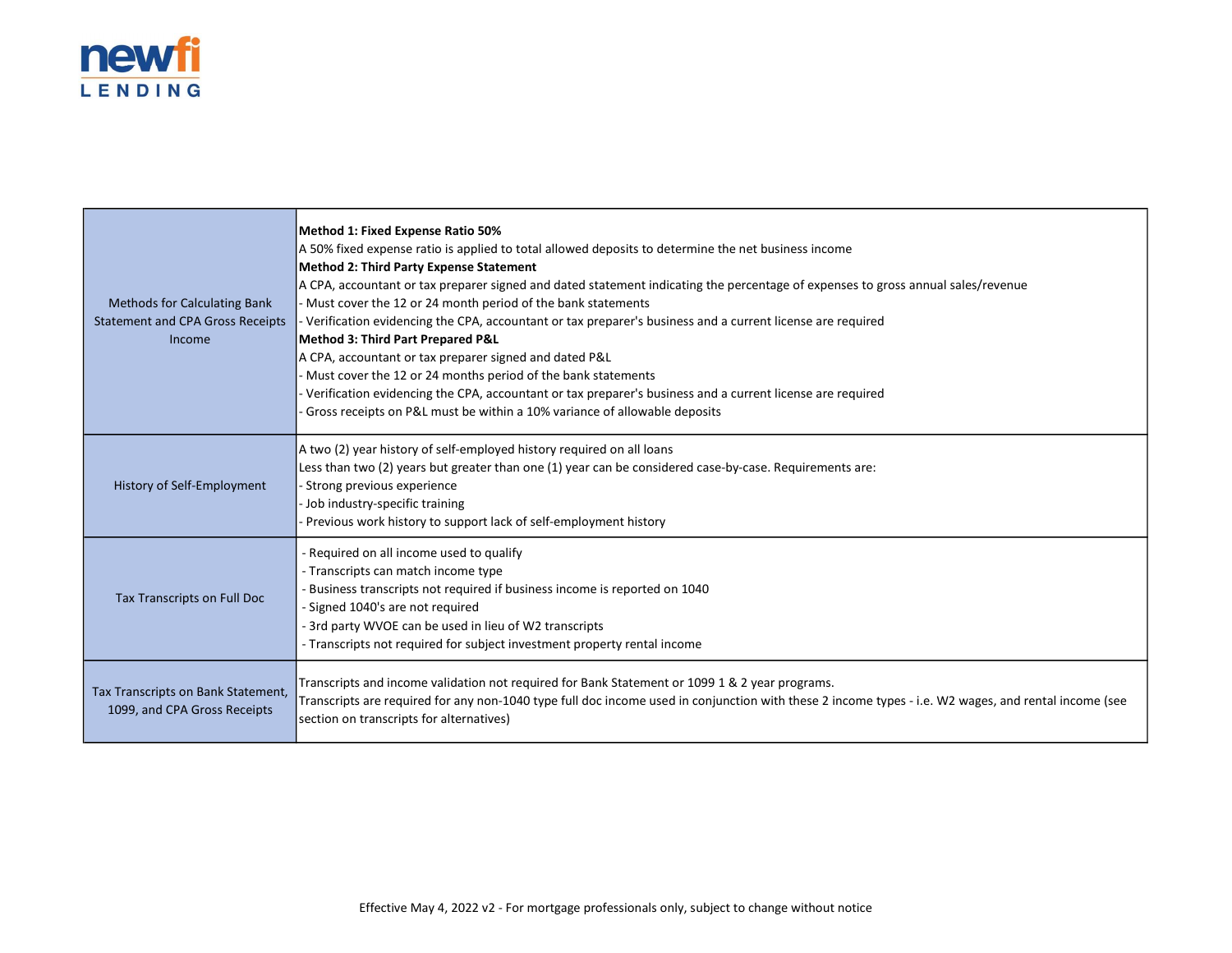

| <b>Methods for Calculating Bank</b><br><b>Statement and CPA Gross Receipts</b><br>Income | Method 1: Fixed Expense Ratio 50%<br>A 50% fixed expense ratio is applied to total allowed deposits to determine the net business income<br>Method 2: Third Party Expense Statement<br>A CPA, accountant or tax preparer signed and dated statement indicating the percentage of expenses to gross annual sales/revenue<br>Must cover the 12 or 24 month period of the bank statements<br>Verification evidencing the CPA, accountant or tax preparer's business and a current license are required<br>Method 3: Third Part Prepared P&L<br>A CPA, accountant or tax preparer signed and dated P&L<br>- Must cover the 12 or 24 months period of the bank statements<br>Verification evidencing the CPA, accountant or tax preparer's business and a current license are required<br>Gross receipts on P&L must be within a 10% variance of allowable deposits |
|------------------------------------------------------------------------------------------|----------------------------------------------------------------------------------------------------------------------------------------------------------------------------------------------------------------------------------------------------------------------------------------------------------------------------------------------------------------------------------------------------------------------------------------------------------------------------------------------------------------------------------------------------------------------------------------------------------------------------------------------------------------------------------------------------------------------------------------------------------------------------------------------------------------------------------------------------------------|
| History of Self-Employment                                                               | A two (2) year history of self-employed history required on all loans<br>Less than two (2) years but greater than one (1) year can be considered case-by-case. Requirements are:<br>- Strong previous experience<br>- Job industry-specific training<br>Previous work history to support lack of self-employment history                                                                                                                                                                                                                                                                                                                                                                                                                                                                                                                                       |
| Tax Transcripts on Full Doc                                                              | - Required on all income used to qualify<br>- Transcripts can match income type<br>Business transcripts not required if business income is reported on 1040<br>- Signed 1040's are not required<br>- 3rd party WVOE can be used in lieu of W2 transcripts<br>- Transcripts not required for subject investment property rental income                                                                                                                                                                                                                                                                                                                                                                                                                                                                                                                          |
| Tax Transcripts on Bank Statement,<br>1099, and CPA Gross Receipts                       | Transcripts and income validation not required for Bank Statement or 1099 1 & 2 year programs.<br>Transcripts are required for any non-1040 type full doc income used in conjunction with these 2 income types - i.e. W2 wages, and rental income (see<br>section on transcripts for alternatives)                                                                                                                                                                                                                                                                                                                                                                                                                                                                                                                                                             |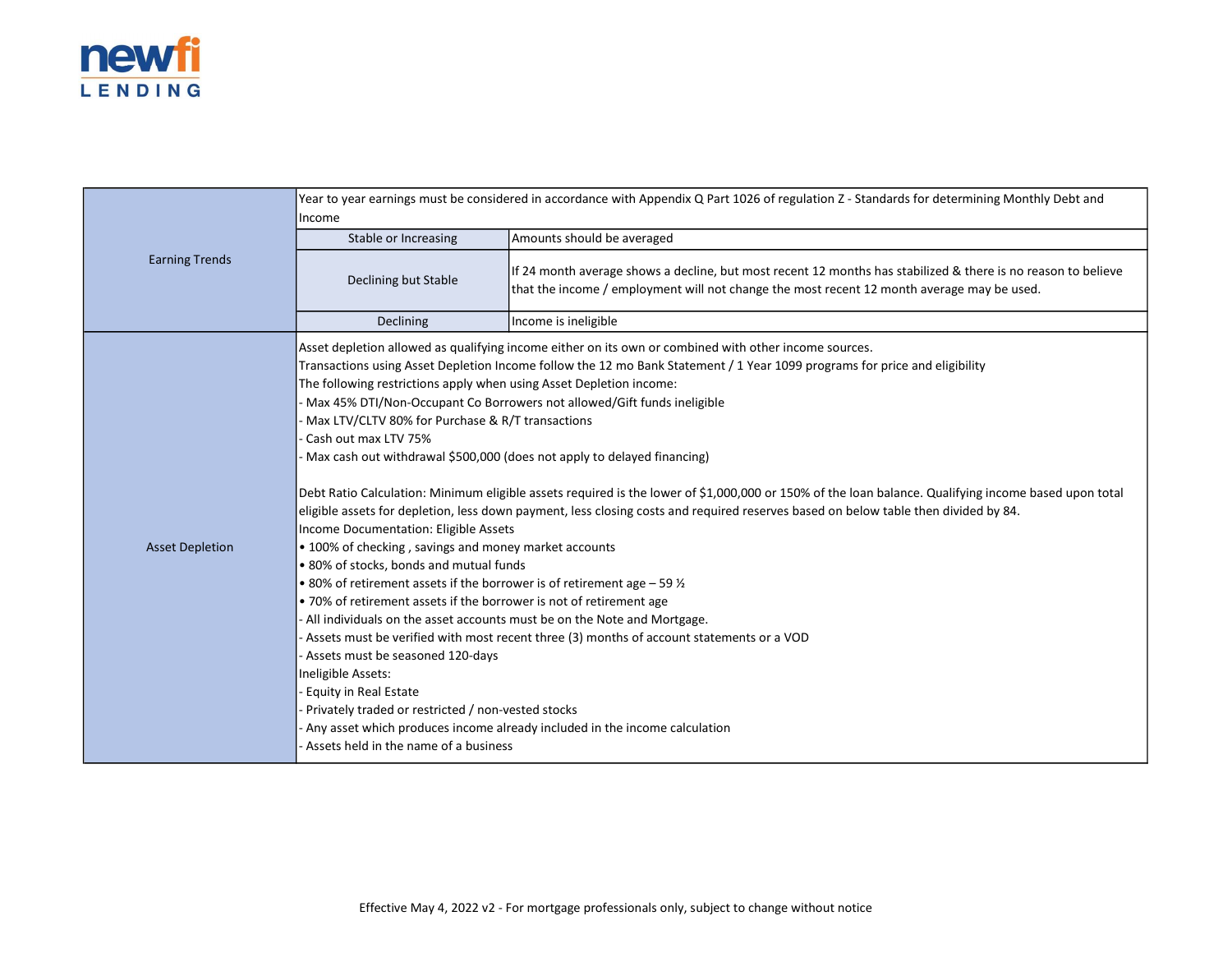

|                        | Year to year earnings must be considered in accordance with Appendix Q Part 1026 of regulation Z - Standards for determining Monthly Debt and<br>Income                                                                                                                                                                                                                                                                                                                                                                                                                                                                                                                                                                                                                                         |                                                                                                                                                                                                                                                                                                                                                                                                                                                                                                                                                                                                                                                                                                                                                                                           |  |
|------------------------|-------------------------------------------------------------------------------------------------------------------------------------------------------------------------------------------------------------------------------------------------------------------------------------------------------------------------------------------------------------------------------------------------------------------------------------------------------------------------------------------------------------------------------------------------------------------------------------------------------------------------------------------------------------------------------------------------------------------------------------------------------------------------------------------------|-------------------------------------------------------------------------------------------------------------------------------------------------------------------------------------------------------------------------------------------------------------------------------------------------------------------------------------------------------------------------------------------------------------------------------------------------------------------------------------------------------------------------------------------------------------------------------------------------------------------------------------------------------------------------------------------------------------------------------------------------------------------------------------------|--|
|                        | Stable or Increasing                                                                                                                                                                                                                                                                                                                                                                                                                                                                                                                                                                                                                                                                                                                                                                            | Amounts should be averaged                                                                                                                                                                                                                                                                                                                                                                                                                                                                                                                                                                                                                                                                                                                                                                |  |
| <b>Earning Trends</b>  | Declining but Stable                                                                                                                                                                                                                                                                                                                                                                                                                                                                                                                                                                                                                                                                                                                                                                            | If 24 month average shows a decline, but most recent 12 months has stabilized & there is no reason to believe<br>that the income / employment will not change the most recent 12 month average may be used.                                                                                                                                                                                                                                                                                                                                                                                                                                                                                                                                                                               |  |
|                        | Declining                                                                                                                                                                                                                                                                                                                                                                                                                                                                                                                                                                                                                                                                                                                                                                                       | Income is ineligible                                                                                                                                                                                                                                                                                                                                                                                                                                                                                                                                                                                                                                                                                                                                                                      |  |
| <b>Asset Depletion</b> | The following restrictions apply when using Asset Depletion income:<br>Max LTV/CLTV 80% for Purchase & R/T transactions<br>Cash out max LTV 75%<br>Max cash out withdrawal \$500,000 (does not apply to delayed financing)<br>Income Documentation: Eligible Assets<br>• 100% of checking, savings and money market accounts<br>• 80% of stocks, bonds and mutual funds<br>• 80% of retirement assets if the borrower is of retirement age $-59\%$<br>• 70% of retirement assets if the borrower is not of retirement age<br>All individuals on the asset accounts must be on the Note and Mortgage.<br>- Assets must be seasoned 120-days<br>Ineligible Assets:<br><b>Equity in Real Estate</b><br>Privately traded or restricted / non-vested stocks<br>Assets held in the name of a business | Asset depletion allowed as qualifying income either on its own or combined with other income sources.<br>Transactions using Asset Depletion Income follow the 12 mo Bank Statement / 1 Year 1099 programs for price and eligibility<br>Max 45% DTI/Non-Occupant Co Borrowers not allowed/Gift funds ineligible<br>Debt Ratio Calculation: Minimum eligible assets required is the lower of \$1,000,000 or 150% of the loan balance. Qualifying income based upon total<br>eligible assets for depletion, less down payment, less closing costs and required reserves based on below table then divided by 84.<br>- Assets must be verified with most recent three (3) months of account statements or a VOD<br>Any asset which produces income already included in the income calculation |  |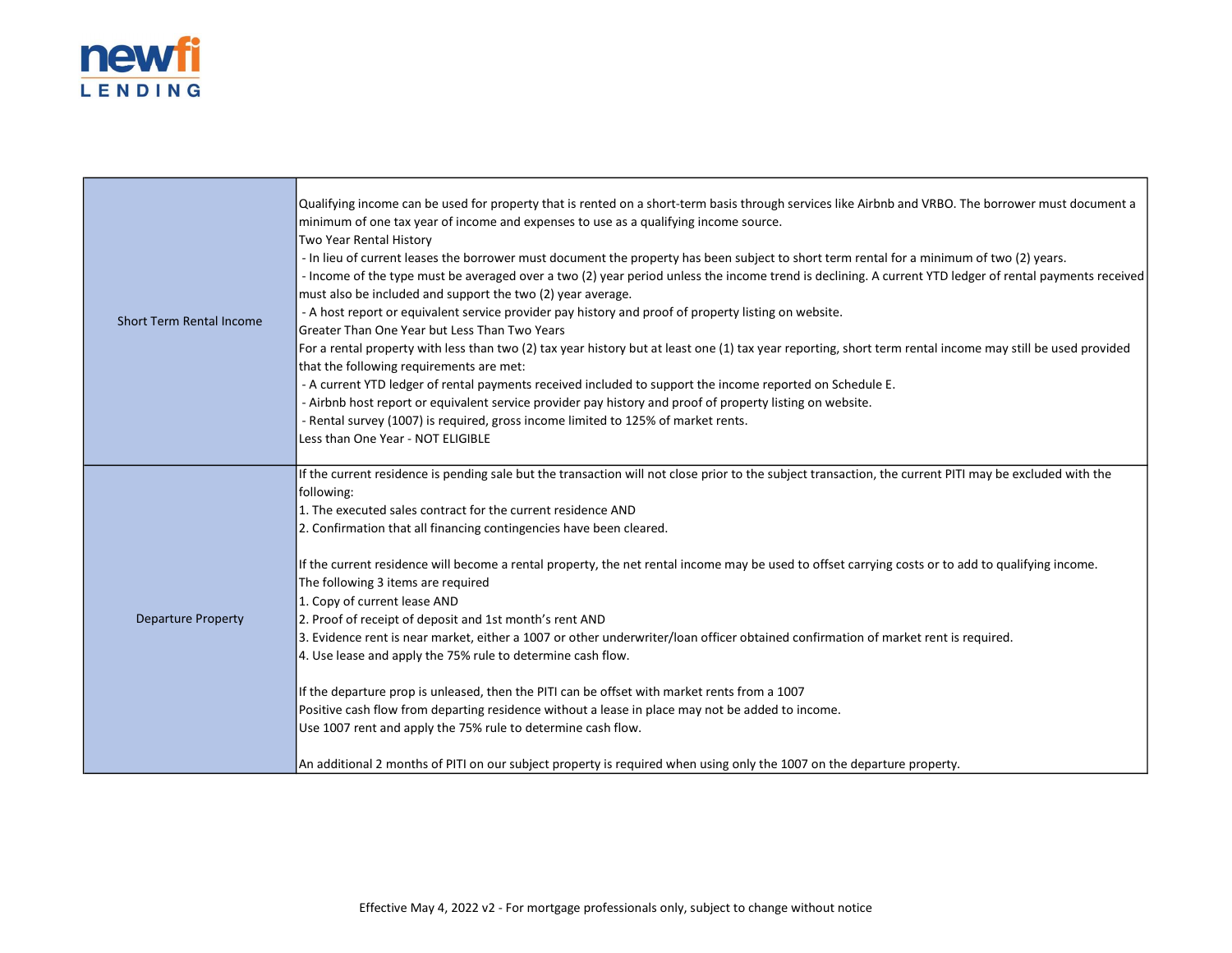

|                                 | Qualifying income can be used for property that is rented on a short-term basis through services like Airbnb and VRBO. The borrower must document a        |
|---------------------------------|------------------------------------------------------------------------------------------------------------------------------------------------------------|
|                                 | minimum of one tax year of income and expenses to use as a qualifying income source.                                                                       |
| <b>Short Term Rental Income</b> | Two Year Rental History                                                                                                                                    |
|                                 | - In lieu of current leases the borrower must document the property has been subject to short term rental for a minimum of two (2) years.                  |
|                                 | - Income of the type must be averaged over a two (2) year period unless the income trend is declining. A current YTD ledger of rental payments received    |
|                                 | must also be included and support the two (2) year average.                                                                                                |
|                                 | - A host report or equivalent service provider pay history and proof of property listing on website.                                                       |
|                                 | Greater Than One Year but Less Than Two Years                                                                                                              |
|                                 | For a rental property with less than two (2) tax year history but at least one (1) tax year reporting, short term rental income may still be used provided |
|                                 | that the following requirements are met:                                                                                                                   |
|                                 | - A current YTD ledger of rental payments received included to support the income reported on Schedule E.                                                  |
|                                 | - Airbnb host report or equivalent service provider pay history and proof of property listing on website.                                                  |
|                                 | - Rental survey (1007) is required, gross income limited to 125% of market rents.                                                                          |
|                                 | Less than One Year - NOT ELIGIBLE                                                                                                                          |
|                                 |                                                                                                                                                            |
|                                 | If the current residence is pending sale but the transaction will not close prior to the subject transaction, the current PITI may be excluded with the    |
|                                 | following:                                                                                                                                                 |
|                                 | 1. The executed sales contract for the current residence AND                                                                                               |
| <b>Departure Property</b>       | 2. Confirmation that all financing contingencies have been cleared.                                                                                        |
|                                 | If the current residence will become a rental property, the net rental income may be used to offset carrying costs or to add to qualifying income.         |
|                                 | The following 3 items are required                                                                                                                         |
|                                 | 1. Copy of current lease AND                                                                                                                               |
|                                 | 2. Proof of receipt of deposit and 1st month's rent AND                                                                                                    |
|                                 | 3. Evidence rent is near market, either a 1007 or other underwriter/loan officer obtained confirmation of market rent is required.                         |
|                                 | 4. Use lease and apply the 75% rule to determine cash flow.                                                                                                |
|                                 | If the departure prop is unleased, then the PITI can be offset with market rents from a 1007                                                               |
|                                 | Positive cash flow from departing residence without a lease in place may not be added to income.                                                           |
|                                 | Use 1007 rent and apply the 75% rule to determine cash flow.                                                                                               |
|                                 |                                                                                                                                                            |
|                                 | An additional 2 months of PITI on our subject property is required when using only the 1007 on the departure property.                                     |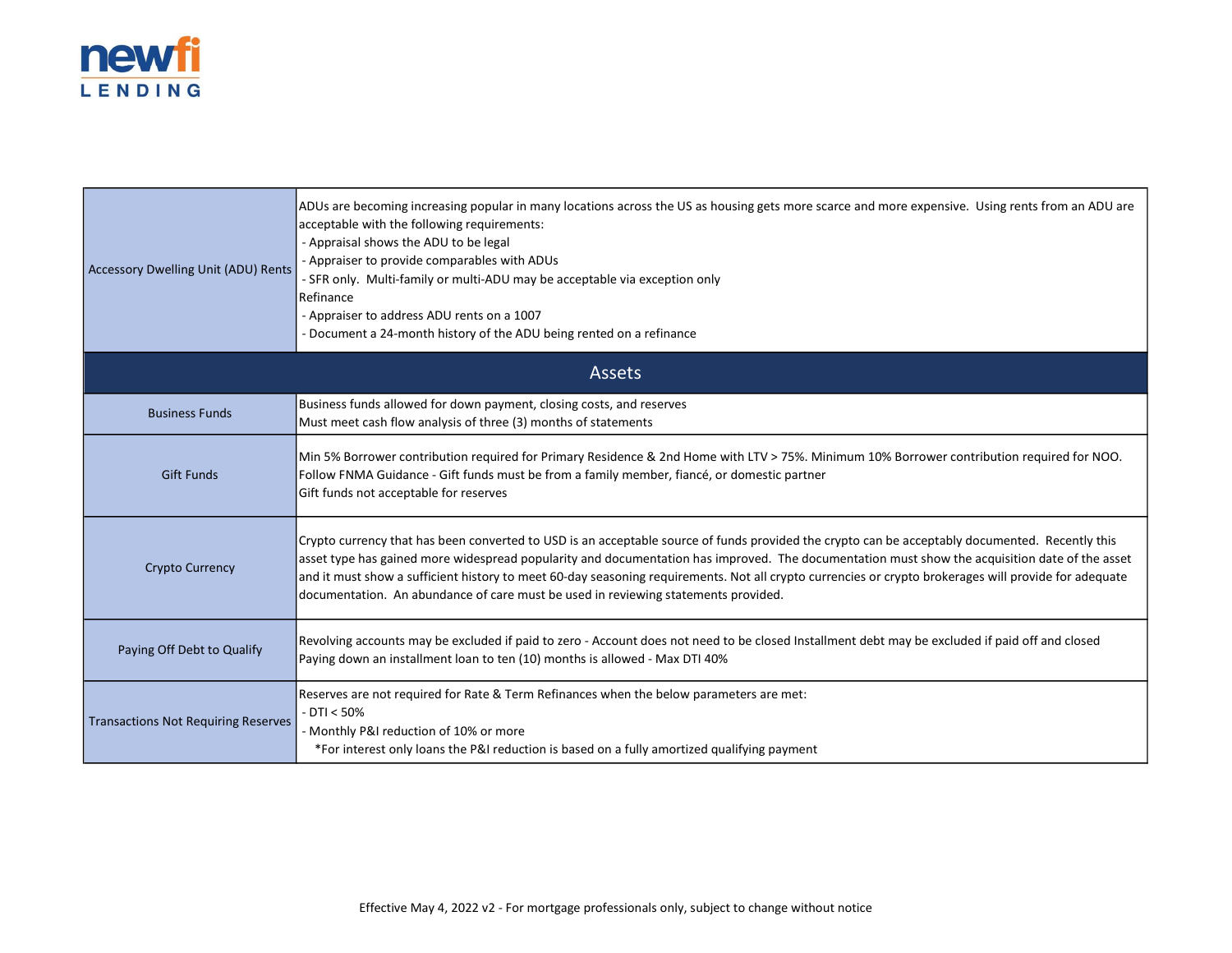

| Accessory Dwelling Unit (ADU) Rents        | ADUs are becoming increasing popular in many locations across the US as housing gets more scarce and more expensive. Using rents from an ADU are<br>acceptable with the following requirements:<br>- Appraisal shows the ADU to be legal<br>- Appraiser to provide comparables with ADUs<br>- SFR only. Multi-family or multi-ADU may be acceptable via exception only<br>Refinance<br>- Appraiser to address ADU rents on a 1007<br>- Document a 24-month history of the ADU being rented on a refinance                                        |  |
|--------------------------------------------|--------------------------------------------------------------------------------------------------------------------------------------------------------------------------------------------------------------------------------------------------------------------------------------------------------------------------------------------------------------------------------------------------------------------------------------------------------------------------------------------------------------------------------------------------|--|
| <b>Assets</b>                              |                                                                                                                                                                                                                                                                                                                                                                                                                                                                                                                                                  |  |
| <b>Business Funds</b>                      | Business funds allowed for down payment, closing costs, and reserves<br>Must meet cash flow analysis of three (3) months of statements                                                                                                                                                                                                                                                                                                                                                                                                           |  |
| <b>Gift Funds</b>                          | Min 5% Borrower contribution required for Primary Residence & 2nd Home with LTV > 75%. Minimum 10% Borrower contribution required for NOO.<br>Follow FNMA Guidance - Gift funds must be from a family member, fiancé, or domestic partner<br>Gift funds not acceptable for reserves                                                                                                                                                                                                                                                              |  |
| <b>Crypto Currency</b>                     | Crypto currency that has been converted to USD is an acceptable source of funds provided the crypto can be acceptably documented. Recently this<br>asset type has gained more widespread popularity and documentation has improved. The documentation must show the acquisition date of the asset<br>and it must show a sufficient history to meet 60-day seasoning requirements. Not all crypto currencies or crypto brokerages will provide for adequate<br>documentation. An abundance of care must be used in reviewing statements provided. |  |
| Paying Off Debt to Qualify                 | Revolving accounts may be excluded if paid to zero - Account does not need to be closed Installment debt may be excluded if paid off and closed<br>Paying down an installment loan to ten (10) months is allowed - Max DTI 40%                                                                                                                                                                                                                                                                                                                   |  |
| <b>Transactions Not Requiring Reserves</b> | Reserves are not required for Rate & Term Refinances when the below parameters are met:<br>$-DT < 50%$<br>- Monthly P&I reduction of 10% or more<br>*For interest only loans the P&I reduction is based on a fully amortized qualifying payment                                                                                                                                                                                                                                                                                                  |  |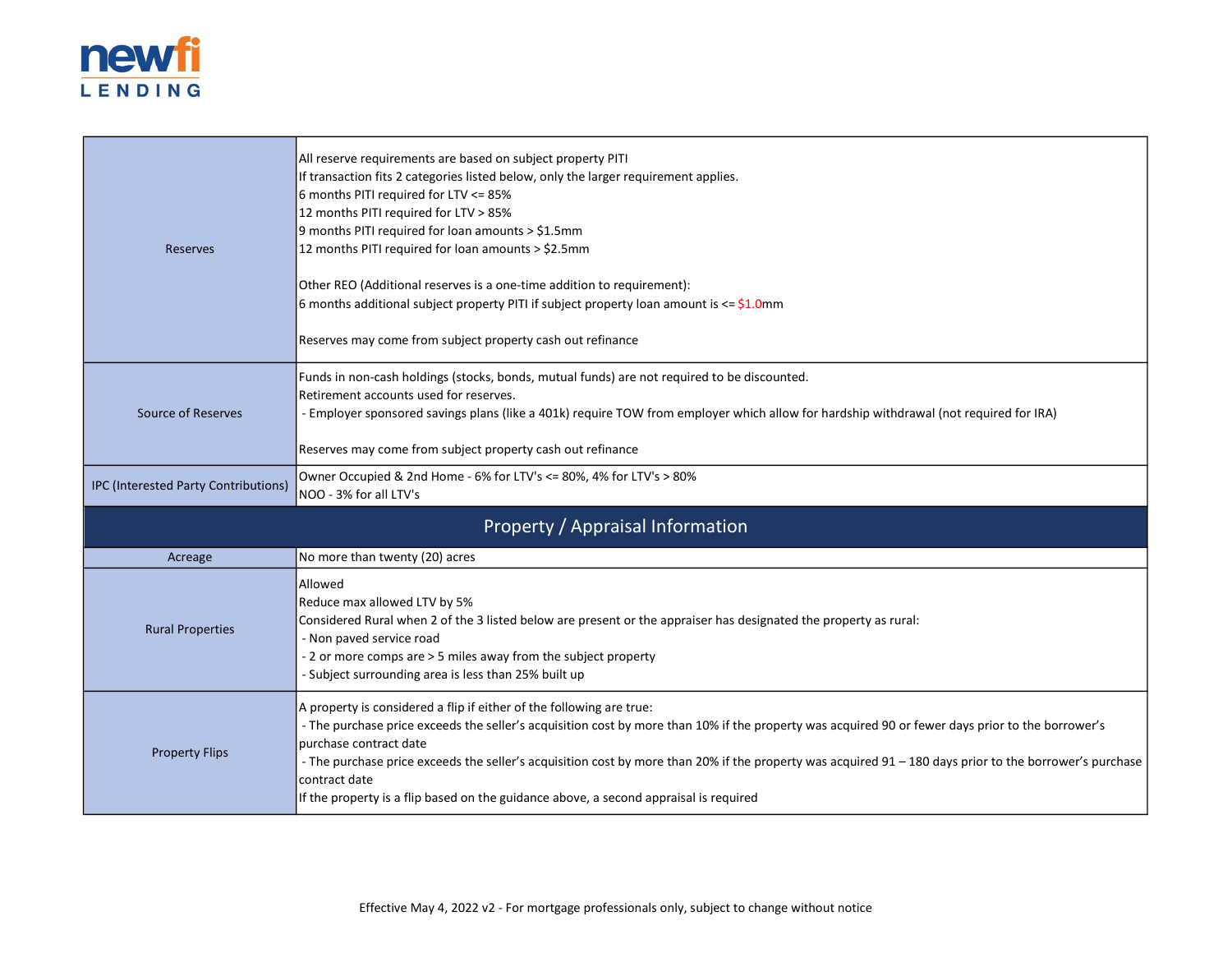

| Reserves                             | All reserve requirements are based on subject property PITI<br>If transaction fits 2 categories listed below, only the larger requirement applies.<br>6 months PITI required for LTV <= 85%<br>12 months PITI required for LTV > 85%<br>9 months PITI required for loan amounts > \$1.5mm<br>12 months PITI required for loan amounts > \$2.5mm<br>Other REO (Additional reserves is a one-time addition to requirement):<br>6 months additional subject property PITI if subject property loan amount is $\leq$ \$1.0mm<br>Reserves may come from subject property cash out refinance |  |
|--------------------------------------|----------------------------------------------------------------------------------------------------------------------------------------------------------------------------------------------------------------------------------------------------------------------------------------------------------------------------------------------------------------------------------------------------------------------------------------------------------------------------------------------------------------------------------------------------------------------------------------|--|
| Source of Reserves                   | Funds in non-cash holdings (stocks, bonds, mutual funds) are not required to be discounted.<br>Retirement accounts used for reserves.<br>- Employer sponsored savings plans (like a 401k) require TOW from employer which allow for hardship withdrawal (not required for IRA)<br>Reserves may come from subject property cash out refinance                                                                                                                                                                                                                                           |  |
| IPC (Interested Party Contributions) | Owner Occupied & 2nd Home - 6% for LTV's <= 80%, 4% for LTV's > 80%<br>NOO - 3% for all LTV's                                                                                                                                                                                                                                                                                                                                                                                                                                                                                          |  |
| Property / Appraisal Information     |                                                                                                                                                                                                                                                                                                                                                                                                                                                                                                                                                                                        |  |
| Acreage                              | No more than twenty (20) acres                                                                                                                                                                                                                                                                                                                                                                                                                                                                                                                                                         |  |
| <b>Rural Properties</b>              | Allowed<br>Reduce max allowed LTV by 5%<br>Considered Rural when 2 of the 3 listed below are present or the appraiser has designated the property as rural:<br>- Non paved service road<br>- 2 or more comps are > 5 miles away from the subject property<br>- Subject surrounding area is less than 25% built up                                                                                                                                                                                                                                                                      |  |
| <b>Property Flips</b>                | A property is considered a flip if either of the following are true:<br>- The purchase price exceeds the seller's acquisition cost by more than 10% if the property was acquired 90 or fewer days prior to the borrower's<br>purchase contract date<br>- The purchase price exceeds the seller's acquisition cost by more than 20% if the property was acquired 91 - 180 days prior to the borrower's purchase<br>contract date<br>If the property is a flip based on the guidance above, a second appraisal is required                                                               |  |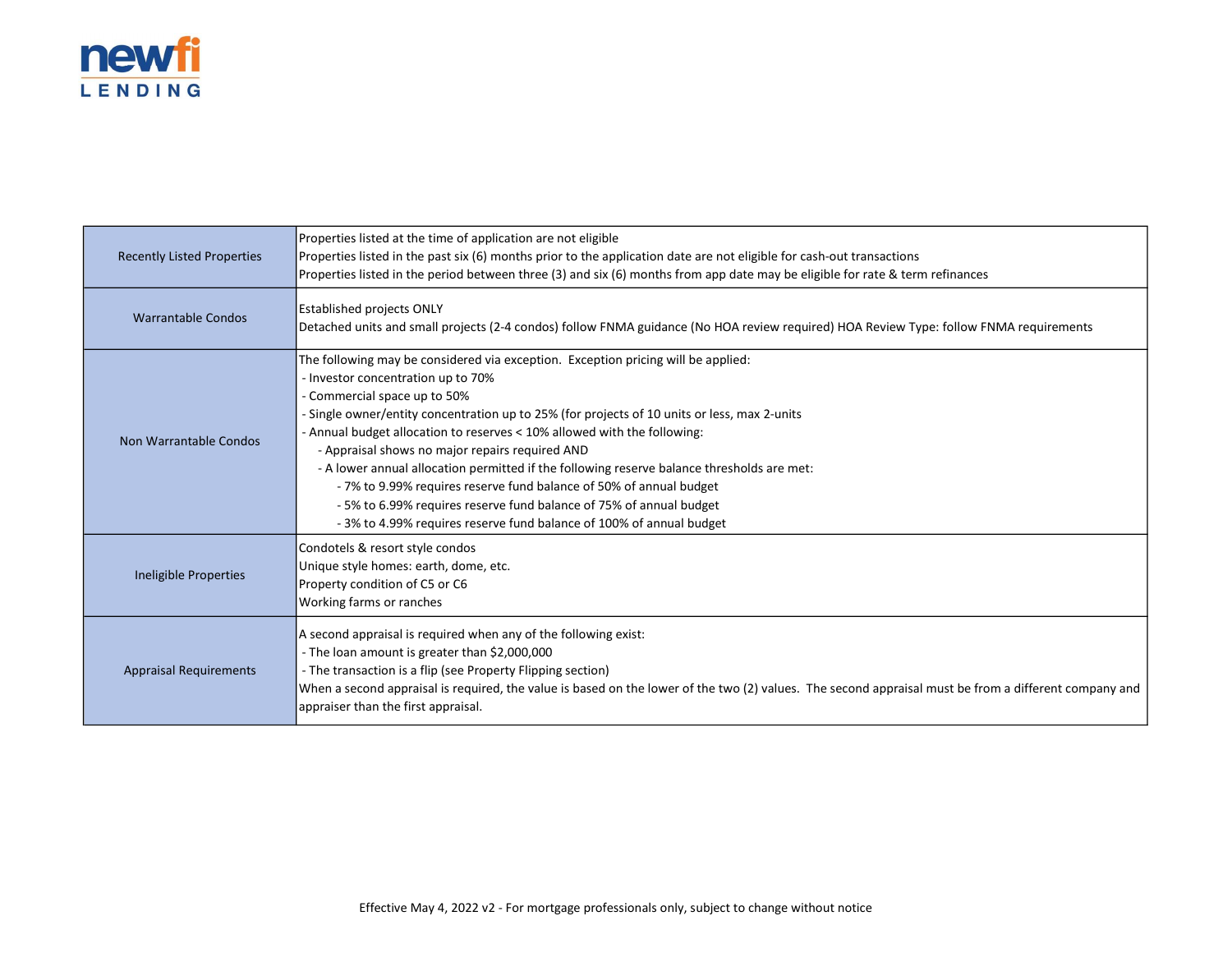

| <b>Recently Listed Properties</b> | Properties listed at the time of application are not eligible<br>Properties listed in the past six (6) months prior to the application date are not eligible for cash-out transactions<br>Properties listed in the period between three (3) and six (6) months from app date may be eligible for rate & term refinances                                                                                                                                                                                                                                                                                                                                                                                  |
|-----------------------------------|----------------------------------------------------------------------------------------------------------------------------------------------------------------------------------------------------------------------------------------------------------------------------------------------------------------------------------------------------------------------------------------------------------------------------------------------------------------------------------------------------------------------------------------------------------------------------------------------------------------------------------------------------------------------------------------------------------|
| <b>Warrantable Condos</b>         | <b>Established projects ONLY</b><br>Detached units and small projects (2-4 condos) follow FNMA guidance (No HOA review required) HOA Review Type: follow FNMA requirements                                                                                                                                                                                                                                                                                                                                                                                                                                                                                                                               |
| Non Warrantable Condos            | The following may be considered via exception. Exception pricing will be applied:<br>- Investor concentration up to 70%<br>- Commercial space up to 50%<br>- Single owner/entity concentration up to 25% (for projects of 10 units or less, max 2-units<br>- Annual budget allocation to reserves < 10% allowed with the following:<br>- Appraisal shows no major repairs required AND<br>- A lower annual allocation permitted if the following reserve balance thresholds are met:<br>-7% to 9.99% requires reserve fund balance of 50% of annual budget<br>- 5% to 6.99% requires reserve fund balance of 75% of annual budget<br>-3% to 4.99% requires reserve fund balance of 100% of annual budget |
| Ineligible Properties             | Condotels & resort style condos<br>Unique style homes: earth, dome, etc.<br>Property condition of C5 or C6<br>Working farms or ranches                                                                                                                                                                                                                                                                                                                                                                                                                                                                                                                                                                   |
| <b>Appraisal Requirements</b>     | A second appraisal is required when any of the following exist:<br>- The loan amount is greater than \$2,000,000<br>- The transaction is a flip (see Property Flipping section)<br>When a second appraisal is required, the value is based on the lower of the two (2) values. The second appraisal must be from a different company and<br>appraiser than the first appraisal.                                                                                                                                                                                                                                                                                                                          |